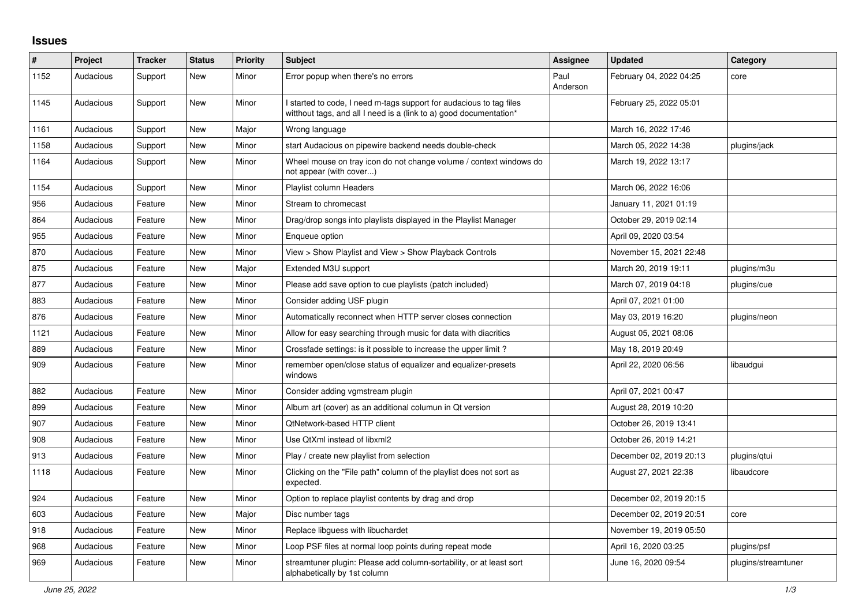## **Issues**

| ∦    | Project   | <b>Tracker</b> | <b>Status</b> | <b>Priority</b> | <b>Subject</b>                                                                                                                            | Assignee         | <b>Updated</b>          | Category            |
|------|-----------|----------------|---------------|-----------------|-------------------------------------------------------------------------------------------------------------------------------------------|------------------|-------------------------|---------------------|
| 1152 | Audacious | Support        | <b>New</b>    | Minor           | Error popup when there's no errors                                                                                                        | Paul<br>Anderson | February 04, 2022 04:25 | core                |
| 1145 | Audacious | Support        | New           | Minor           | I started to code, I need m-tags support for audacious to tag files<br>witthout tags, and all I need is a (link to a) good documentation* |                  | February 25, 2022 05:01 |                     |
| 1161 | Audacious | Support        | <b>New</b>    | Major           | Wrong language                                                                                                                            |                  | March 16, 2022 17:46    |                     |
| 1158 | Audacious | Support        | New           | Minor           | start Audacious on pipewire backend needs double-check                                                                                    |                  | March 05, 2022 14:38    | plugins/jack        |
| 1164 | Audacious | Support        | New           | Minor           | Wheel mouse on tray icon do not change volume / context windows do<br>not appear (with cover)                                             |                  | March 19, 2022 13:17    |                     |
| 1154 | Audacious | Support        | <b>New</b>    | Minor           | Playlist column Headers                                                                                                                   |                  | March 06, 2022 16:06    |                     |
| 956  | Audacious | Feature        | <b>New</b>    | Minor           | Stream to chromecast                                                                                                                      |                  | January 11, 2021 01:19  |                     |
| 864  | Audacious | Feature        | New           | Minor           | Drag/drop songs into playlists displayed in the Playlist Manager                                                                          |                  | October 29, 2019 02:14  |                     |
| 955  | Audacious | Feature        | New           | Minor           | Enqueue option                                                                                                                            |                  | April 09, 2020 03:54    |                     |
| 870  | Audacious | Feature        | <b>New</b>    | Minor           | View > Show Playlist and View > Show Playback Controls                                                                                    |                  | November 15, 2021 22:48 |                     |
| 875  | Audacious | Feature        | <b>New</b>    | Major           | Extended M3U support                                                                                                                      |                  | March 20, 2019 19:11    | plugins/m3u         |
| 877  | Audacious | Feature        | <b>New</b>    | Minor           | Please add save option to cue playlists (patch included)                                                                                  |                  | March 07, 2019 04:18    | plugins/cue         |
| 883  | Audacious | Feature        | New           | Minor           | Consider adding USF plugin                                                                                                                |                  | April 07, 2021 01:00    |                     |
| 876  | Audacious | Feature        | <b>New</b>    | Minor           | Automatically reconnect when HTTP server closes connection                                                                                |                  | May 03, 2019 16:20      | plugins/neon        |
| 1121 | Audacious | Feature        | <b>New</b>    | Minor           | Allow for easy searching through music for data with diacritics                                                                           |                  | August 05, 2021 08:06   |                     |
| 889  | Audacious | Feature        | <b>New</b>    | Minor           | Crossfade settings: is it possible to increase the upper limit?                                                                           |                  | May 18, 2019 20:49      |                     |
| 909  | Audacious | Feature        | New           | Minor           | remember open/close status of equalizer and equalizer-presets<br>windows                                                                  |                  | April 22, 2020 06:56    | libaudgui           |
| 882  | Audacious | Feature        | <b>New</b>    | Minor           | Consider adding vgmstream plugin                                                                                                          |                  | April 07, 2021 00:47    |                     |
| 899  | Audacious | Feature        | <b>New</b>    | Minor           | Album art (cover) as an additional columun in Qt version                                                                                  |                  | August 28, 2019 10:20   |                     |
| 907  | Audacious | Feature        | <b>New</b>    | Minor           | QtNetwork-based HTTP client                                                                                                               |                  | October 26, 2019 13:41  |                     |
| 908  | Audacious | Feature        | <b>New</b>    | Minor           | Use QtXml instead of libxml2                                                                                                              |                  | October 26, 2019 14:21  |                     |
| 913  | Audacious | Feature        | New           | Minor           | Play / create new playlist from selection                                                                                                 |                  | December 02, 2019 20:13 | plugins/gtui        |
| 1118 | Audacious | Feature        | New           | Minor           | Clicking on the "File path" column of the playlist does not sort as<br>expected.                                                          |                  | August 27, 2021 22:38   | libaudcore          |
| 924  | Audacious | Feature        | New           | Minor           | Option to replace playlist contents by drag and drop                                                                                      |                  | December 02, 2019 20:15 |                     |
| 603  | Audacious | Feature        | <b>New</b>    | Major           | Disc number tags                                                                                                                          |                  | December 02, 2019 20:51 | core                |
| 918  | Audacious | Feature        | <b>New</b>    | Minor           | Replace libguess with libuchardet                                                                                                         |                  | November 19, 2019 05:50 |                     |
| 968  | Audacious | Feature        | New           | Minor           | Loop PSF files at normal loop points during repeat mode                                                                                   |                  | April 16, 2020 03:25    | plugins/psf         |
| 969  | Audacious | Feature        | New           | Minor           | streamtuner plugin: Please add column-sortability, or at least sort<br>alphabetically by 1st column                                       |                  | June 16, 2020 09:54     | plugins/streamtuner |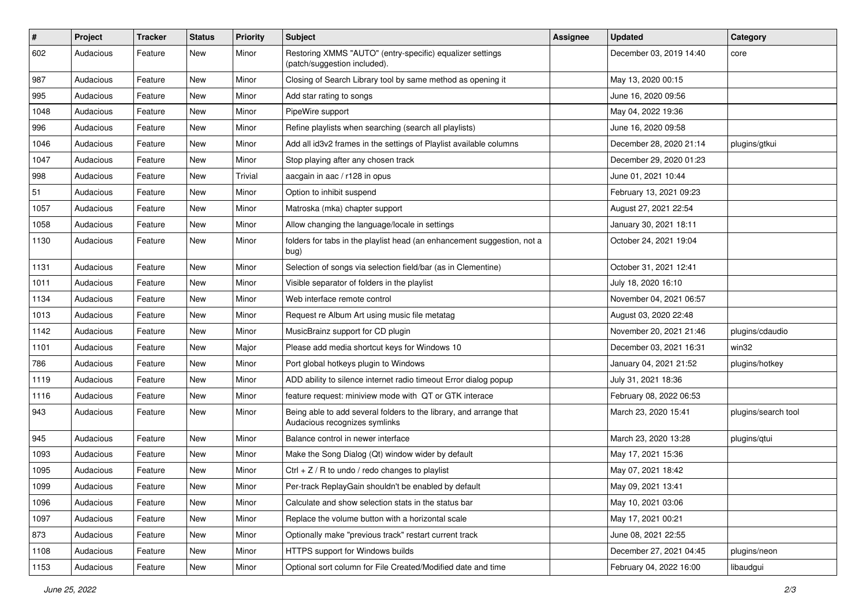| $\vert$ # | Project   | <b>Tracker</b> | <b>Status</b> | <b>Priority</b> | Subject                                                                                             | <b>Assignee</b> | <b>Updated</b>          | Category            |
|-----------|-----------|----------------|---------------|-----------------|-----------------------------------------------------------------------------------------------------|-----------------|-------------------------|---------------------|
| 602       | Audacious | Feature        | New           | Minor           | Restoring XMMS "AUTO" (entry-specific) equalizer settings<br>(patch/suggestion included).           |                 | December 03, 2019 14:40 | core                |
| 987       | Audacious | Feature        | New           | Minor           | Closing of Search Library tool by same method as opening it                                         |                 | May 13, 2020 00:15      |                     |
| 995       | Audacious | Feature        | New           | Minor           | Add star rating to songs                                                                            |                 | June 16, 2020 09:56     |                     |
| 1048      | Audacious | Feature        | <b>New</b>    | Minor           | PipeWire support                                                                                    |                 | May 04, 2022 19:36      |                     |
| 996       | Audacious | Feature        | New           | Minor           | Refine playlists when searching (search all playlists)                                              |                 | June 16, 2020 09:58     |                     |
| 1046      | Audacious | Feature        | New           | Minor           | Add all id3v2 frames in the settings of Playlist available columns                                  |                 | December 28, 2020 21:14 | plugins/gtkui       |
| 1047      | Audacious | Feature        | New           | Minor           | Stop playing after any chosen track                                                                 |                 | December 29, 2020 01:23 |                     |
| 998       | Audacious | Feature        | New           | Trivial         | aacgain in aac / r128 in opus                                                                       |                 | June 01, 2021 10:44     |                     |
| 51        | Audacious | Feature        | <b>New</b>    | Minor           | Option to inhibit suspend                                                                           |                 | February 13, 2021 09:23 |                     |
| 1057      | Audacious | Feature        | New           | Minor           | Matroska (mka) chapter support                                                                      |                 | August 27, 2021 22:54   |                     |
| 1058      | Audacious | Feature        | New           | Minor           | Allow changing the language/locale in settings                                                      |                 | January 30, 2021 18:11  |                     |
| 1130      | Audacious | Feature        | New           | Minor           | folders for tabs in the playlist head (an enhancement suggestion, not a<br>bug)                     |                 | October 24, 2021 19:04  |                     |
| 1131      | Audacious | Feature        | <b>New</b>    | Minor           | Selection of songs via selection field/bar (as in Clementine)                                       |                 | October 31, 2021 12:41  |                     |
| 1011      | Audacious | Feature        | New           | Minor           | Visible separator of folders in the playlist                                                        |                 | July 18, 2020 16:10     |                     |
| 1134      | Audacious | Feature        | New           | Minor           | Web interface remote control                                                                        |                 | November 04, 2021 06:57 |                     |
| 1013      | Audacious | Feature        | <b>New</b>    | Minor           | Request re Album Art using music file metatag                                                       |                 | August 03, 2020 22:48   |                     |
| 1142      | Audacious | Feature        | New           | Minor           | MusicBrainz support for CD plugin                                                                   |                 | November 20, 2021 21:46 | plugins/cdaudio     |
| 1101      | Audacious | Feature        | New           | Major           | Please add media shortcut keys for Windows 10                                                       |                 | December 03, 2021 16:31 | win32               |
| 786       | Audacious | Feature        | New           | Minor           | Port global hotkeys plugin to Windows                                                               |                 | January 04, 2021 21:52  | plugins/hotkey      |
| 1119      | Audacious | Feature        | New           | Minor           | ADD ability to silence internet radio timeout Error dialog popup                                    |                 | July 31, 2021 18:36     |                     |
| 1116      | Audacious | Feature        | <b>New</b>    | Minor           | feature request: miniview mode with QT or GTK interace                                              |                 | February 08, 2022 06:53 |                     |
| 943       | Audacious | Feature        | New           | Minor           | Being able to add several folders to the library, and arrange that<br>Audacious recognizes symlinks |                 | March 23, 2020 15:41    | plugins/search tool |
| 945       | Audacious | Feature        | New           | Minor           | Balance control in newer interface                                                                  |                 | March 23, 2020 13:28    | plugins/qtui        |
| 1093      | Audacious | Feature        | New           | Minor           | Make the Song Dialog (Qt) window wider by default                                                   |                 | May 17, 2021 15:36      |                     |
| 1095      | Audacious | Feature        | <b>New</b>    | Minor           | $Ctrl + Z / R$ to undo / redo changes to playlist                                                   |                 | May 07, 2021 18:42      |                     |
| 1099      | Audacious | Feature        | New           | Minor           | Per-track ReplayGain shouldn't be enabled by default                                                |                 | May 09, 2021 13:41      |                     |
| 1096      | Audacious | Feature        | New           | Minor           | Calculate and show selection stats in the status bar                                                |                 | May 10, 2021 03:06      |                     |
| 1097      | Audacious | Feature        | New           | Minor           | Replace the volume button with a horizontal scale                                                   |                 | May 17, 2021 00:21      |                     |
| 873       | Audacious | Feature        | New           | Minor           | Optionally make "previous track" restart current track                                              |                 | June 08, 2021 22:55     |                     |
| 1108      | Audacious | Feature        | New           | Minor           | HTTPS support for Windows builds                                                                    |                 | December 27, 2021 04:45 | plugins/neon        |
| 1153      | Audacious | Feature        | New           | Minor           | Optional sort column for File Created/Modified date and time                                        |                 | February 04, 2022 16:00 | libaudgui           |